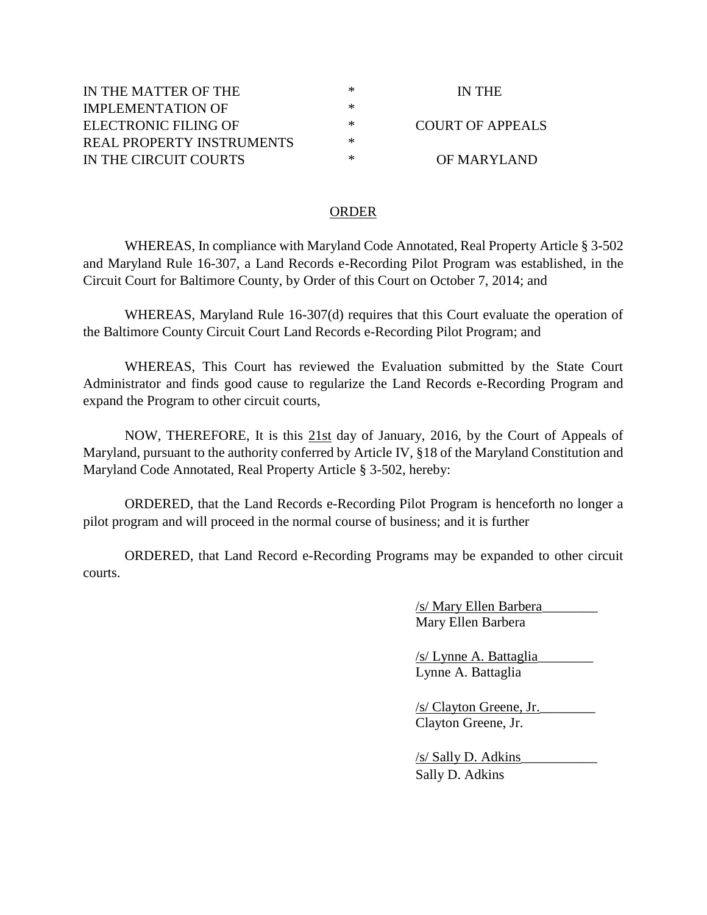| IN THE MATTER OF THE      | ∗ | IN THE           |
|---------------------------|---|------------------|
| IMPLEMENTATION OF         | ∗ |                  |
| ELECTRONIC FILING OF      | ∗ | COURT OF APPEALS |
| REAL PROPERTY INSTRUMENTS | ∗ |                  |
| IN THE CIRCUIT COURTS     | ∗ | OF MARYLAND      |

## ORDER

WHEREAS, In compliance with Maryland Code Annotated, Real Property Article § 3-502 and Maryland Rule 16-307, a Land Records e-Recording Pilot Program was established, in the Circuit Court for Baltimore County, by Order of this Court on October 7, 2014; and

WHEREAS, Maryland Rule 16-307(d) requires that this Court evaluate the operation of the Baltimore County Circuit Court Land Records e-Recording Pilot Program; and

WHEREAS, This Court has reviewed the Evaluation submitted by the State Court Administrator and finds good cause to regularize the Land Records e-Recording Program and expand the Program to other circuit courts,

NOW, THEREFORE, It is this 21st day of January, 2016, by the Court of Appeals of Maryland, pursuant to the authority conferred by Article IV, §18 of the Maryland Constitution and Maryland Code Annotated, Real Property Article § 3-502, hereby:

ORDERED, that the Land Records e-Recording Pilot Program is henceforth no longer a pilot program and will proceed in the normal course of business; and it is further

ORDERED, that Land Record e-Recording Programs may be expanded to other circuit courts.

> /s/ Mary Ellen Barbera\_\_\_\_\_\_\_\_ Mary Ellen Barbera

/s/ Lynne A. Battaglia\_\_\_\_\_\_\_\_ Lynne A. Battaglia

/s/ Clayton Greene, Jr.\_\_\_\_\_\_\_\_ Clayton Greene, Jr.

/s/ Sally D. Adkins\_\_\_\_\_\_\_\_\_\_\_ Sally D. Adkins